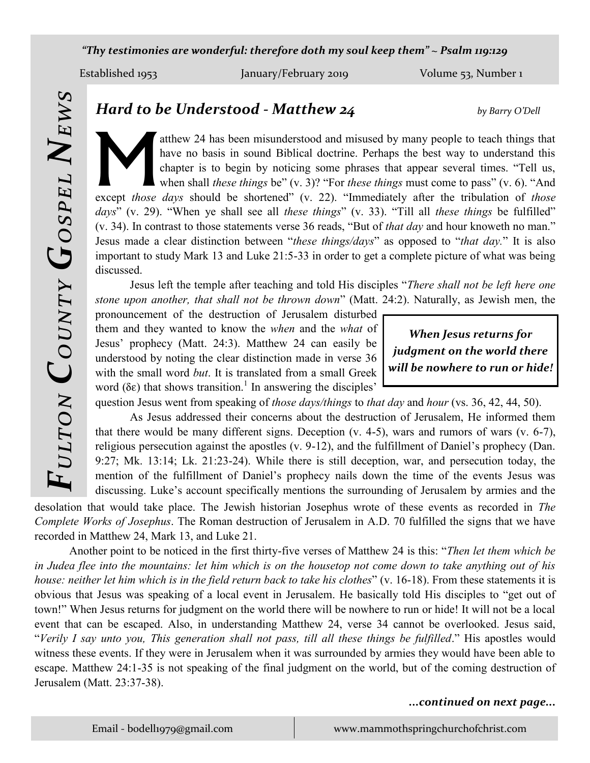*"Thy testimonies are wonderful: therefore doth my soul keep them" ~ Psalm 119:129*

M

Established 1953 January/February 2019 Volume 53, Number 1

*Hard to be Understood - Matthew 24 by Barry O'Dell*

atthew 24 has been misunderstood and misused by many people to teach things that have no basis in sound Biblical doctrine. Perhaps the best way to understand this chapter is to begin by noticing some phrases that appear several times. "Tell us, when shall *these things* be" (v. 3)? "For *these things* must come to pass" (v. 6). "And except *those days* should be shortened" (v. 22). "Immediately after the tribulation of *those days*" (v. 29). "When ye shall see all *these things*" (v. 33). "Till all *these things* be fulfilled"

(v. 34). In contrast to those statements verse 36 reads, "But of *that day* and hour knoweth no man." Jesus made a clear distinction between "*these things/days*" as opposed to "*that day.*" It is also important to study Mark 13 and Luke 21:5-33 in order to get a complete picture of what was being discussed.

Jesus left the temple after teaching and told His disciples "*There shall not be left here one stone upon another, that shall not be thrown down*" (Matt. 24:2). Naturally, as Jewish men, the

pronouncement of the destruction of Jerusalem disturbed them and they wanted to know the *when* and the *what* of Jesus' prophecy (Matt. 24:3). Matthew 24 can easily be understood by noting the clear distinction made in verse 36 with the small word *but*. It is translated from a small Greek word ( $\delta \varepsilon$ ) that shows transition.<sup>1</sup> In answering the disciples'

*When Jesus returns for judgment on the world there will be nowhere to run or hide!*

question Jesus went from speaking of *those days/things* to *that day* and *hour* (vs. 36, 42, 44, 50).

As Jesus addressed their concerns about the destruction of Jerusalem, He informed them that there would be many different signs. Deception (v. 4-5), wars and rumors of wars (v. 6-7), religious persecution against the apostles (v. 9-12), and the fulfillment of Daniel's prophecy (Dan. 9:27; Mk. 13:14; Lk. 21:23-24). While there is still deception, war, and persecution today, the mention of the fulfillment of Daniel's prophecy nails down the time of the events Jesus was discussing. Luke's account specifically mentions the surrounding of Jerusalem by armies and the

desolation that would take place. The Jewish historian Josephus wrote of these events as recorded in *The Complete Works of Josephus*. The Roman destruction of Jerusalem in A.D. 70 fulfilled the signs that we have recorded in Matthew 24, Mark 13, and Luke 21.

Another point to be noticed in the first thirty-five verses of Matthew 24 is this: "*Then let them which be in Judea flee into the mountains: let him which is on the housetop not come down to take anything out of his house: neither let him which is in the field return back to take his clothes*" (v. 16-18). From these statements it is obvious that Jesus was speaking of a local event in Jerusalem. He basically told His disciples to "get out of town!" When Jesus returns for judgment on the world there will be nowhere to run or hide! It will not be a local event that can be escaped. Also, in understanding Matthew 24, verse 34 cannot be overlooked. Jesus said, "*Verily I say unto you, This generation shall not pass, till all these things be fulfilled*." His apostles would witness these events. If they were in Jerusalem when it was surrounded by armies they would have been able to escape. Matthew 24:1-35 is not speaking of the final judgment on the world, but of the coming destruction of Jerusalem (Matt. 23:37-38).

## *...continued on next page...*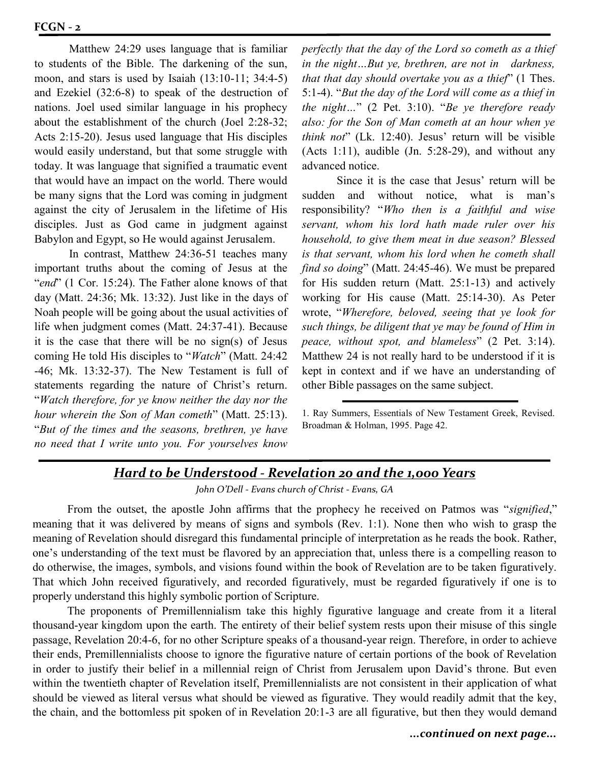Matthew 24:29 uses language that is familiar to students of the Bible. The darkening of the sun, moon, and stars is used by Isaiah (13:10-11; 34:4-5) and Ezekiel (32:6-8) to speak of the destruction of nations. Joel used similar language in his prophecy about the establishment of the church (Joel 2:28-32; Acts 2:15-20). Jesus used language that His disciples would easily understand, but that some struggle with today. It was language that signified a traumatic event that would have an impact on the world. There would be many signs that the Lord was coming in judgment against the city of Jerusalem in the lifetime of His disciples. Just as God came in judgment against Babylon and Egypt, so He would against Jerusalem.

In contrast, Matthew 24:36-51 teaches many important truths about the coming of Jesus at the "*end*" (1 Cor. 15:24). The Father alone knows of that day (Matt. 24:36; Mk. 13:32). Just like in the days of Noah people will be going about the usual activities of life when judgment comes (Matt. 24:37-41). Because it is the case that there will be no sign(s) of Jesus coming He told His disciples to "*Watch*" (Matt. 24:42 -46; Mk. 13:32-37). The New Testament is full of statements regarding the nature of Christ's return. "*Watch therefore, for ye know neither the day nor the hour wherein the Son of Man cometh*" (Matt. 25:13). "*But of the times and the seasons, brethren, ye have no need that I write unto you. For yourselves know* 

*perfectly that the day of the Lord so cometh as a thief in the night…But ye, brethren, are not in darkness, that that day should overtake you as a thief*" (1 Thes. 5:1-4). "*But the day of the Lord will come as a thief in the night…*" (2 Pet. 3:10). "*Be ye therefore ready also: for the Son of Man cometh at an hour when ye think not*" (Lk. 12:40). Jesus' return will be visible (Acts 1:11), audible  $(In. 5:28-29)$ , and without any advanced notice.

Since it is the case that Jesus' return will be sudden and without notice, what is man's responsibility? "*Who then is a faithful and wise servant, whom his lord hath made ruler over his household, to give them meat in due season? Blessed is that servant, whom his lord when he cometh shall find so doing*" (Matt. 24:45-46). We must be prepared for His sudden return (Matt. 25:1-13) and actively working for His cause (Matt. 25:14-30). As Peter wrote, "*Wherefore, beloved, seeing that ye look for such things, be diligent that ye may be found of Him in peace, without spot, and blameless*" (2 Pet. 3:14). Matthew 24 is not really hard to be understood if it is kept in context and if we have an understanding of other Bible passages on the same subject.

1. Ray Summers, Essentials of New Testament Greek, Revised. Broadman & Holman, 1995. Page 42.

# *Hard to be Understood - Revelation 20 and the 1,000 Years*

*John O'Dell - Evans church of Christ - Evans, GA*

From the outset, the apostle John affirms that the prophecy he received on Patmos was "*signified*," meaning that it was delivered by means of signs and symbols (Rev. 1:1). None then who wish to grasp the meaning of Revelation should disregard this fundamental principle of interpretation as he reads the book. Rather, one's understanding of the text must be flavored by an appreciation that, unless there is a compelling reason to do otherwise, the images, symbols, and visions found within the book of Revelation are to be taken figuratively. That which John received figuratively, and recorded figuratively, must be regarded figuratively if one is to properly understand this highly symbolic portion of Scripture.

The proponents of Premillennialism take this highly figurative language and create from it a literal thousand-year kingdom upon the earth. The entirety of their belief system rests upon their misuse of this single passage, Revelation 20:4-6, for no other Scripture speaks of a thousand-year reign. Therefore, in order to achieve their ends, Premillennialists choose to ignore the figurative nature of certain portions of the book of Revelation in order to justify their belief in a millennial reign of Christ from Jerusalem upon David's throne. But even within the twentieth chapter of Revelation itself, Premillennialists are not consistent in their application of what should be viewed as literal versus what should be viewed as figurative. They would readily admit that the key, the chain, and the bottomless pit spoken of in Revelation 20:1-3 are all figurative, but then they would demand

#### *...continued on next page...*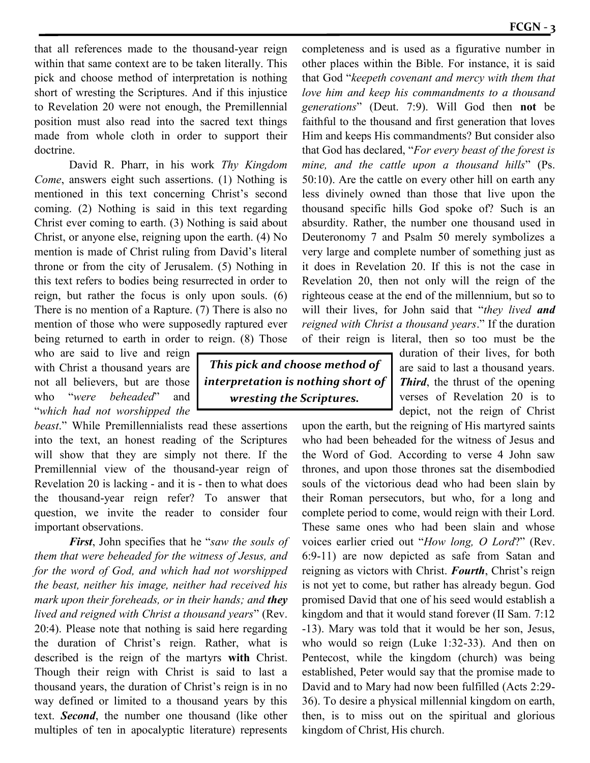that all references made to the thousand-year reign within that same context are to be taken literally. This pick and choose method of interpretation is nothing short of wresting the Scriptures. And if this injustice to Revelation 20 were not enough, the Premillennial position must also read into the sacred text things made from whole cloth in order to support their doctrine.

David R. Pharr, in his work *Thy Kingdom Come*, answers eight such assertions. (1) Nothing is mentioned in this text concerning Christ's second coming. (2) Nothing is said in this text regarding Christ ever coming to earth. (3) Nothing is said about Christ, or anyone else, reigning upon the earth. (4) No mention is made of Christ ruling from David's literal throne or from the city of Jerusalem. (5) Nothing in this text refers to bodies being resurrected in order to reign, but rather the focus is only upon souls. (6) There is no mention of a Rapture. (7) There is also no mention of those who were supposedly raptured ever being returned to earth in order to reign. (8) Those

who are said to live and reign with Christ a thousand years are not all believers, but are those who "*were beheaded*" and "*which had not worshipped the* 

*beast*." While Premillennialists read these assertions into the text, an honest reading of the Scriptures will show that they are simply not there. If the Premillennial view of the thousand-year reign of Revelation 20 is lacking - and it is - then to what does the thousand-year reign refer? To answer that question, we invite the reader to consider four important observations.

*First*, John specifies that he "*saw the souls of them that were beheaded for the witness of Jesus, and for the word of God, and which had not worshipped the beast, neither his image, neither had received his mark upon their foreheads, or in their hands; and they lived and reigned with Christ a thousand years*" (Rev. 20:4). Please note that nothing is said here regarding the duration of Christ's reign. Rather, what is described is the reign of the martyrs **with** Christ. Though their reign with Christ is said to last a thousand years, the duration of Christ's reign is in no way defined or limited to a thousand years by this text. *Second*, the number one thousand (like other multiples of ten in apocalyptic literature) represents

*This pick and choose method of interpretation is nothing short of wresting the Scriptures.*

completeness and is used as a figurative number in other places within the Bible. For instance, it is said that God "*keepeth covenant and mercy with them that love him and keep his commandments to a thousand generations*" (Deut. 7:9). Will God then **not** be faithful to the thousand and first generation that loves Him and keeps His commandments? But consider also that God has declared, "*For every beast of the forest is mine, and the cattle upon a thousand hills*" (Ps. 50:10). Are the cattle on every other hill on earth any less divinely owned than those that live upon the thousand specific hills God spoke of? Such is an absurdity. Rather, the number one thousand used in Deuteronomy 7 and Psalm 50 merely symbolizes a very large and complete number of something just as it does in Revelation 20. If this is not the case in Revelation 20, then not only will the reign of the righteous cease at the end of the millennium, but so to will their lives, for John said that "*they lived and reigned with Christ a thousand years*." If the duration of their reign is literal, then so too must be the

> duration of their lives, for both are said to last a thousand years. *Third*, the thrust of the opening verses of Revelation 20 is to depict, not the reign of Christ

upon the earth, but the reigning of His martyred saints who had been beheaded for the witness of Jesus and the Word of God. According to verse 4 John saw thrones, and upon those thrones sat the disembodied souls of the victorious dead who had been slain by their Roman persecutors, but who, for a long and complete period to come, would reign with their Lord. These same ones who had been slain and whose voices earlier cried out "*How long, O Lord*?" (Rev. 6:9-11) are now depicted as safe from Satan and reigning as victors with Christ. *Fourth*, Christ's reign is not yet to come, but rather has already begun. God promised David that one of his seed would establish a kingdom and that it would stand forever (II Sam. 7:12 -13). Mary was told that it would be her son, Jesus, who would so reign (Luke 1:32-33). And then on Pentecost, while the kingdom (church) was being established, Peter would say that the promise made to David and to Mary had now been fulfilled (Acts 2:29- 36). To desire a physical millennial kingdom on earth, then, is to miss out on the spiritual and glorious kingdom of Christ, His church.